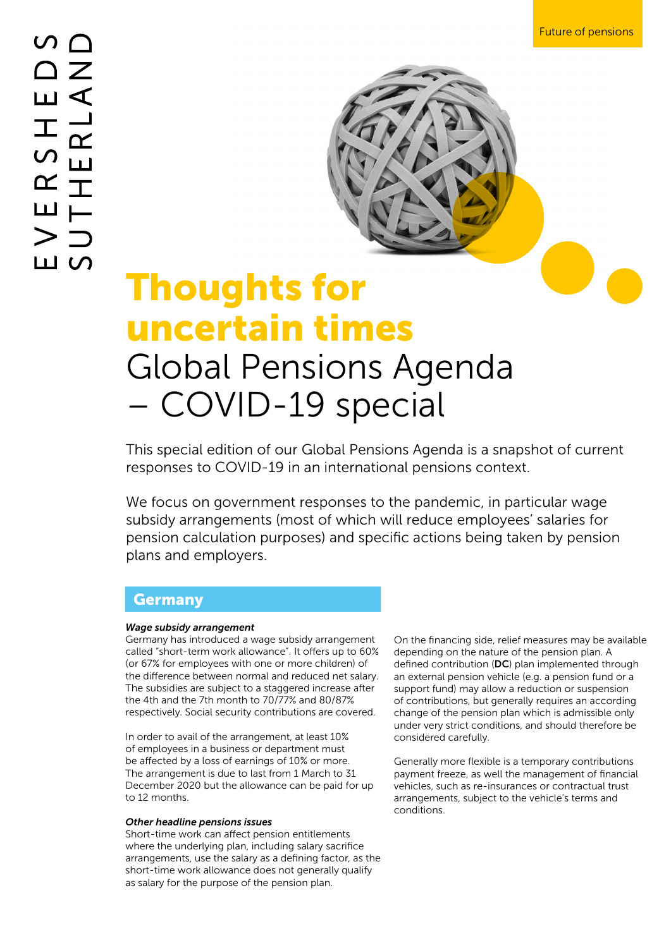

# Thoughts for uncertain times Global Pensions Agenda – COVID-19 special

This special edition of our Global Pensions Agenda is a snapshot of current responses to COVID-19 in an international pensions context.

We focus on government responses to the pandemic, in particular wage subsidy arrangements (most of which will reduce employees' salaries for pension calculation purposes) and specific actions being taken by pension plans and employers.

### Germany

### *Wage subsidy arrangement*

Germany has introduced a wage subsidy arrangement called "short-term work allowance". It offers up to 60% (or 67% for employees with one or more children) of the difference between normal and reduced net salary. The subsidies are subject to a staggered increase after the 4th and the 7th month to 70/77% and 80/87% respectively. Social security contributions are covered.

In order to avail of the arrangement, at least 10% of employees in a business or department must be affected by a loss of earnings of 10% or more. The arrangement is due to last from 1 March to 31 December 2020 but the allowance can be paid for up to 12 months.

### *Other headline pensions issues*

Short-time work can affect pension entitlements where the underlying plan, including salary sacrifice arrangements, use the salary as a defining factor, as the short-time work allowance does not generally qualify as salary for the purpose of the pension plan.

On the financing side, relief measures may be available depending on the nature of the pension plan. A defined contribution (DC) plan implemented through an external pension vehicle (e.g. a pension fund or a support fund) may allow a reduction or suspension of contributions, but generally requires an according change of the pension plan which is admissible only under very strict conditions, and should therefore be considered carefully.

Generally more flexible is a temporary contributions payment freeze, as well the management of financial vehicles, such as re-insurances or contractual trust arrangements, subject to the vehicle's terms and conditions.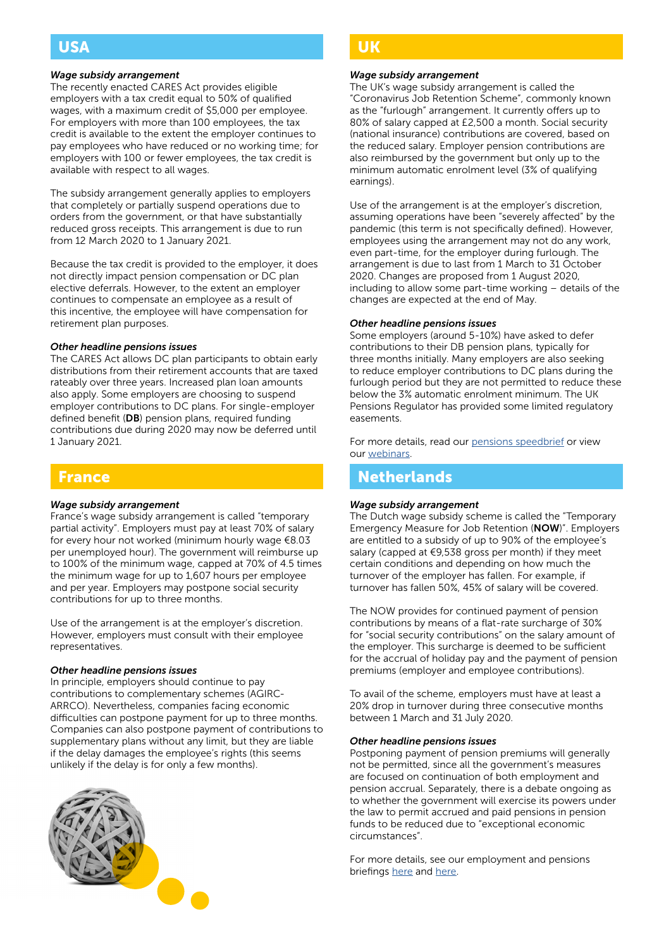# USA

### *Wage subsidy arrangement*

The recently enacted CARES Act provides eligible employers with a tax credit equal to 50% of qualified wages, with a maximum credit of \$5,000 per employee. For employers with more than 100 employees, the tax credit is available to the extent the employer continues to pay employees who have reduced or no working time; for employers with 100 or fewer employees, the tax credit is available with respect to all wages.

The subsidy arrangement generally applies to employers that completely or partially suspend operations due to orders from the government, or that have substantially reduced gross receipts. This arrangement is due to run from 12 March 2020 to 1 January 2021.

Because the tax credit is provided to the employer, it does not directly impact pension compensation or DC plan elective deferrals. However, to the extent an employer continues to compensate an employee as a result of this incentive, the employee will have compensation for retirement plan purposes.

### *Other headline pensions issues*

The CARES Act allows DC plan participants to obtain early distributions from their retirement accounts that are taxed rateably over three years. Increased plan loan amounts also apply. Some employers are choosing to suspend employer contributions to DC plans. For single-employer defined benefit (DB) pension plans, required funding contributions due during 2020 may now be deferred until 1 January 2021.

### France

### *Wage subsidy arrangement*

France's wage subsidy arrangement is called "temporary partial activity". Employers must pay at least 70% of salary for every hour not worked (minimum hourly wage €8.03 per unemployed hour). The government will reimburse up to 100% of the minimum wage, capped at 70% of 4.5 times the minimum wage for up to 1,607 hours per employee and per year. Employers may postpone social security contributions for up to three months.

Use of the arrangement is at the employer's discretion. However, employers must consult with their employee representatives.

### *Other headline pensions issues*

In principle, employers should continue to pay contributions to complementary schemes (AGIRC-ARRCO). Nevertheless, companies facing economic difficulties can postpone payment for up to three months. Companies can also postpone payment of contributions to supplementary plans without any limit, but they are liable if the delay damages the employee's rights (this seems unlikely if the delay is for only a few months).



### UK

#### *Wage subsidy arrangement*

The UK's wage subsidy arrangement is called the "Coronavirus Job Retention Scheme", commonly known as the "furlough" arrangement. It currently offers up to 80% of salary capped at £2,500 a month. Social security (national insurance) contributions are covered, based on the reduced salary. Employer pension contributions are also reimbursed by the government but only up to the minimum automatic enrolment level (3% of qualifying earnings).

Use of the arrangement is at the employer's discretion, assuming operations have been "severely affected" by the pandemic (this term is not specifically defined). However, employees using the arrangement may not do any work, even part-time, for the employer during furlough. The arrangement is due to last from 1 March to 31 October 2020. Changes are proposed from 1 August 2020, including to allow some part-time working – details of the changes are expected at the end of May.

#### *Other headline pensions issues*

Some employers (around 5-10%) have asked to defer contributions to their DB pension plans, typically for three months initially. Many employers are also seeking to reduce employer contributions to DC plans during the furlough period but they are not permitted to reduce these below the 3% automatic enrolment minimum. The UK Pensions Regulator has provided some limited regulatory easements.

For more details, read our [pensions speedbrief](https://www.eversheds-sutherland.com/global/en/what/articles/index.page?ArticleID=en/coronavirus/coronavirus-pensions-furlough) or view our [webinars.](https://www.eversheds-sutherland.com/global/en/what/articles/index.page?ArticleID=en/coronavirus/covonavirus-pensions-webinars)

### **Netherlands**

### *Wage subsidy arrangement*

The Dutch wage subsidy scheme is called the "Temporary Emergency Measure for Job Retention (NOW)". Employers are entitled to a subsidy of up to 90% of the employee's salary (capped at €9,538 gross per month) if they meet certain conditions and depending on how much the turnover of the employer has fallen. For example, if turnover has fallen 50%, 45% of salary will be covered.

The NOW provides for continued payment of pension contributions by means of a flat-rate surcharge of 30% for "social security contributions" on the salary amount of the employer. This surcharge is deemed to be sufficient for the accrual of holiday pay and the payment of pension premiums (employer and employee contributions).

To avail of the scheme, employers must have at least a 20% drop in turnover during three consecutive months between 1 March and 31 July 2020.

#### *Other headline pensions issues*

Postponing payment of pension premiums will generally not be permitted, since all the government's measures are focused on continuation of both employment and pension accrual. Separately, there is a debate ongoing as to whether the government will exercise its powers under the law to permit accrued and paid pensions in pension funds to be reduced due to "exceptional economic circumstances".

For more details, see our employment and pensions briefings [here](https://www.eversheds-sutherland.com/global/en/what/articles/index.page?ArticleID=en/coronavirus/coronavirus-pensions-netherlands) and [here.](https://www.eversheds-sutherland.com/global/en/what/articles/index.page?ArticleID=en/coronavirus/Co-VID-19-Netherlands)